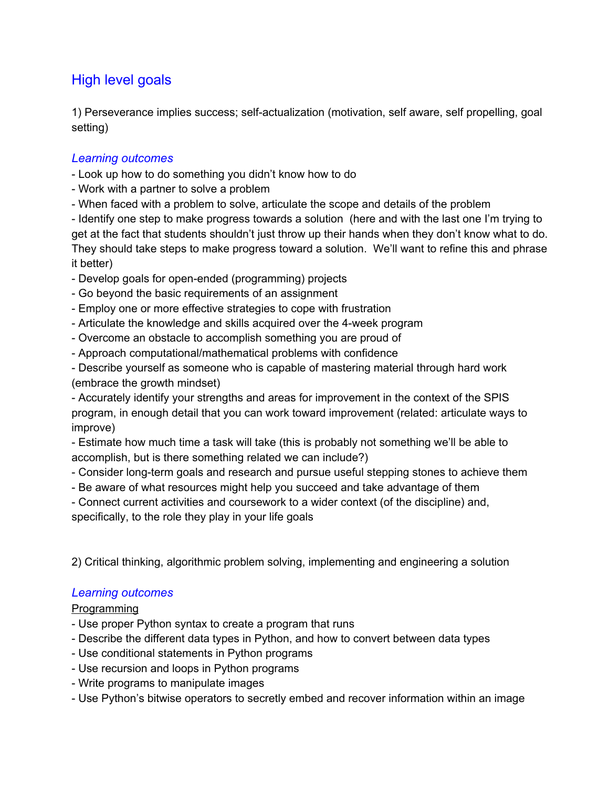# High level goals

1) Perseverance implies success; self-actualization (motivation, self aware, self propelling, goal setting)

# *Learning outcomes*

- Look up how to do something you didn't know how to do
- Work with a partner to solve a problem
- When faced with a problem to solve, articulate the scope and details of the problem

- Identify one step to make progress towards a solution (here and with the last one I'm trying to get at the fact that students shouldn't just throw up their hands when they don't know what to do. They should take steps to make progress toward a solution. We'll want to refine this and phrase it better)

- Develop goals for open-ended (programming) projects
- Go beyond the basic requirements of an assignment
- Employ one or more effective strategies to cope with frustration
- Articulate the knowledge and skills acquired over the 4-week program
- Overcome an obstacle to accomplish something you are proud of
- Approach computational/mathematical problems with confidence
- Describe yourself as someone who is capable of mastering material through hard work (embrace the growth mindset)

 Accurately identify your strengths and areas for improvement in the context of the SPIS program, in enough detail that you can work toward improvement (related: articulate ways to improve)

 Estimate how much time a task will take (this is probably not something we'll be able to accomplish, but is there something related we can include?)

- Consider long-term goals and research and pursue useful stepping stones to achieve them
- Be aware of what resources might help you succeed and take advantage of them
- Connect current activities and coursework to a wider context (of the discipline) and,

specifically, to the role they play in your life goals

2) Critical thinking, algorithmic problem solving, implementing and engineering a solution

# *Learning outcomes*

## Programming

- Use proper Python syntax to create a program that runs
- Describe the different data types in Python, and how to convert between data types
- Use conditional statements in Python programs
- Use recursion and loops in Python programs
- Write programs to manipulate images
- Use Python's bitwise operators to secretly embed and recover information within an image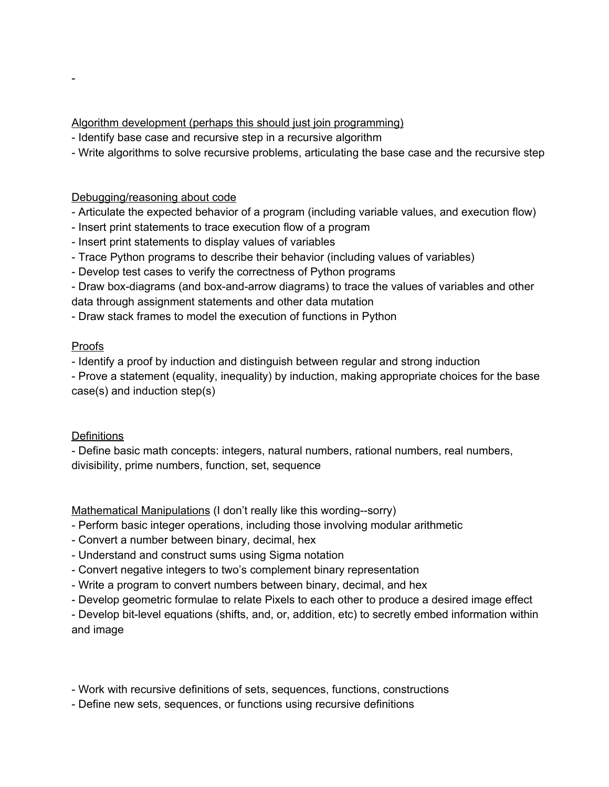## Algorithm development (perhaps this should just join programming)

- Identify base case and recursive step in a recursive algorithm
- Write algorithms to solve recursive problems, articulating the base case and the recursive step

#### Debugging/reasoning about code

- Articulate the expected behavior of a program (including variable values, and execution flow)
- Insert print statements to trace execution flow of a program
- Insert print statements to display values of variables
- Trace Python programs to describe their behavior (including values of variables)
- Develop test cases to verify the correctness of Python programs
- Draw box-diagrams (and box-and-arrow diagrams) to trace the values of variables and other data through assignment statements and other data mutation
- Draw stack frames to model the execution of functions in Python

## Proofs

 $\overline{\phantom{a}}$ 

- Identify a proof by induction and distinguish between regular and strong induction

 Prove a statement (equality, inequality) by induction, making appropriate choices for the base case(s) and induction step(s)

## **Definitions**

 Define basic math concepts: integers, natural numbers, rational numbers, real numbers, divisibility, prime numbers, function, set, sequence

Mathematical Manipulations (I don't really like this wording--sorry)

- Perform basic integer operations, including those involving modular arithmetic
- Convert a number between binary, decimal, hex
- Understand and construct sums using Sigma notation
- Convert negative integers to two's complement binary representation
- Write a program to convert numbers between binary, decimal, and hex
- Develop geometric formulae to relate Pixels to each other to produce a desired image effect

- Develop bit-level equations (shifts, and, or, addition, etc) to secretly embed information within and image

- Work with recursive definitions of sets, sequences, functions, constructions
- Define new sets, sequences, or functions using recursive definitions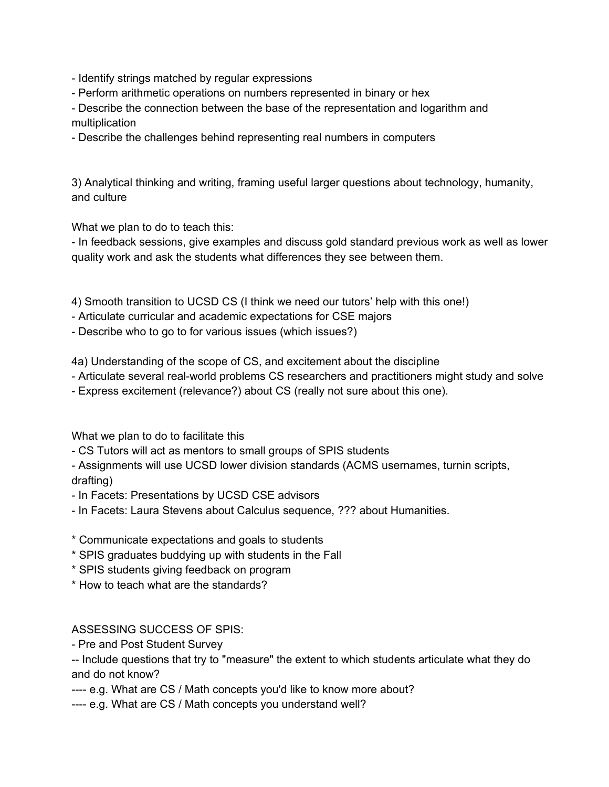- Identify strings matched by regular expressions
- Perform arithmetic operations on numbers represented in binary or hex
- Describe the connection between the base of the representation and logarithm and multiplication
- Describe the challenges behind representing real numbers in computers

3) Analytical thinking and writing, framing useful larger questions about technology, humanity, and culture

What we plan to do to teach this:

- In feedback sessions, give examples and discuss gold standard previous work as well as lower quality work and ask the students what differences they see between them.

4) Smooth transition to UCSD CS (I think we need our tutors' help with this one!)

- Articulate curricular and academic expectations for CSE majors
- Describe who to go to for various issues (which issues?)

4a) Understanding of the scope of CS, and excitement about the discipline

- Articulate several real-world problems CS researchers and practitioners might study and solve
- Express excitement (relevance?) about CS (really not sure about this one).

What we plan to do to facilitate this

CS Tutors will act as mentors to small groups of SPIS students

 Assignments will use UCSD lower division standards (ACMS usernames, turnin scripts, drafting)

- In Facets: Presentations by UCSD CSE advisors
- In Facets: Laura Stevens about Calculus sequence, ??? about Humanities.
- \* Communicate expectations and goals to students
- \* SPIS graduates buddying up with students in the Fall
- \* SPIS students giving feedback on program
- \* How to teach what are the standards?

#### ASSESSING SUCCESS OF SPIS:

- Pre and Post Student Survey

-- Include questions that try to "measure" the extent to which students articulate what they do and do not know?

e.g. What are CS / Math concepts you'd like to know more about?

---- e.g. What are CS / Math concepts you understand well?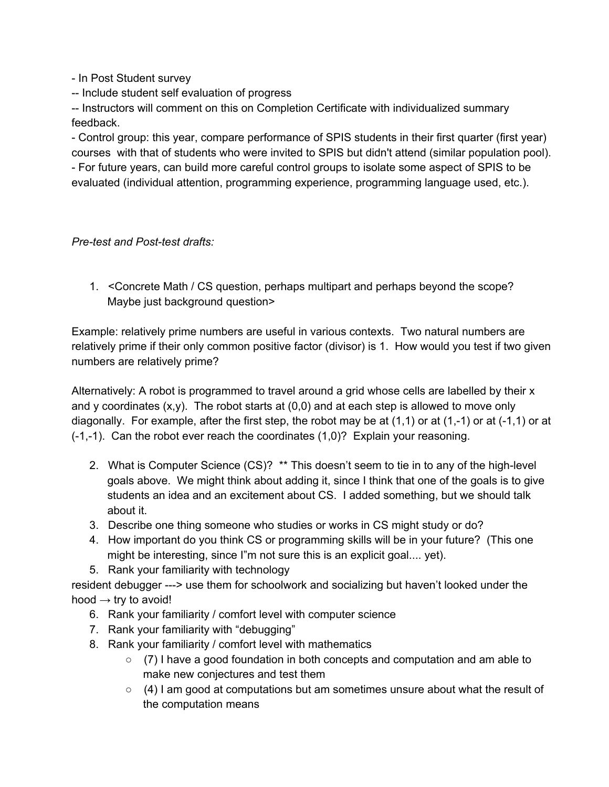- In Post Student survey

-- Include student self evaluation of progress

-- Instructors will comment on this on Completion Certificate with individualized summary feedback.

 Control group: this year, compare performance of SPIS students in their first quarter (first year) courses with that of students who were invited to SPIS but didn't attend (similar population pool).

 For future years, can build more careful control groups to isolate some aspect of SPIS to be evaluated (individual attention, programming experience, programming language used, etc.).

## *Pre-test and Post-test drafts:*

1. <Concrete Math / CS question, perhaps multipart and perhaps beyond the scope? Maybe just background question>

Example: relatively prime numbers are useful in various contexts. Two natural numbers are relatively prime if their only common positive factor (divisor) is 1. How would you test if two given numbers are relatively prime?

Alternatively: A robot is programmed to travel around a grid whose cells are labelled by their x and y coordinates  $(x,y)$ . The robot starts at  $(0,0)$  and at each step is allowed to move only diagonally. For example, after the first step, the robot may be at  $(1,1)$  or at  $(1,-1)$  or at  $(-1,1)$  or at  $(-1,-1)$ . Can the robot ever reach the coordinates  $(1,0)$ ? Explain your reasoning.

- 2. What is Computer Science (CS)? \*\* This doesn't seem to tie in to any of the high-level goals above. We might think about adding it, since I think that one of the goals is to give students an idea and an excitement about CS. I added something, but we should talk about it.
- 3. Describe one thing someone who studies or works in CS might study or do?
- 4. How important do you think CS or programming skills will be in your future? (This one might be interesting, since I"m not sure this is an explicit goal.... yet).
- 5. Rank your familiarity with technology

resident debugger ---> use them for schoolwork and socializing but haven't looked under the hood  $\rightarrow$  try to avoid!

- 6. Rank your familiarity / comfort level with computer science
- 7. Rank your familiarity with "debugging"
- 8. Rank your familiarity / comfort level with mathematics
	- (7) I have a good foundation in both concepts and computation and am able to make new conjectures and test them
	- $\circ$  (4) I am good at computations but am sometimes unsure about what the result of the computation means